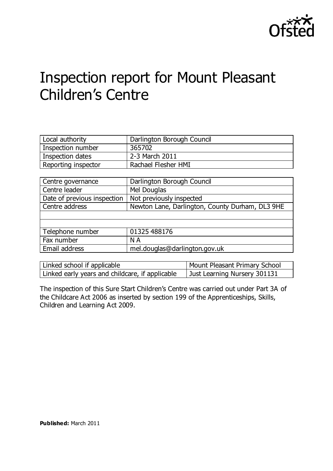

# Inspection report for Mount Pleasant Children's Centre

| Local authority     | Darlington Borough Council |
|---------------------|----------------------------|
| Inspection number   | 365702                     |
| Inspection dates    | 2-3 March 2011             |
| Reporting inspector | Rachael Flesher HMI        |

| Centre governance           | Darlington Borough Council                      |
|-----------------------------|-------------------------------------------------|
| Centre leader               | Mel Douglas                                     |
| Date of previous inspection | Not previously inspected                        |
| Centre address              | Newton Lane, Darlington, County Durham, DL3 9HE |
|                             |                                                 |
|                             |                                                 |
| Telephone number            | 01325 488176                                    |
| Fax number                  | N A                                             |
| Email address               | mel.douglas@darlington.gov.uk                   |

| Linked school if applicable                     | Mount Pleasant Primary School |
|-------------------------------------------------|-------------------------------|
| Linked early years and childcare, if applicable | Just Learning Nursery 301131  |

The inspection of this Sure Start Children's Centre was carried out under Part 3A of the Childcare Act 2006 as inserted by section 199 of the Apprenticeships, Skills, Children and Learning Act 2009.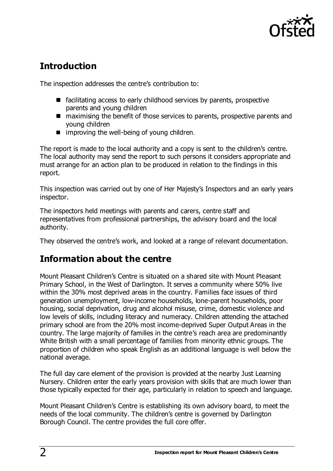

# **Introduction**

The inspection addresses the centre's contribution to:

- $\blacksquare$  facilitating access to early childhood services by parents, prospective parents and young children
- maximising the benefit of those services to parents, prospective parents and young children
- $\blacksquare$  improving the well-being of young children.

The report is made to the local authority and a copy is sent to the children's centre. The local authority may send the report to such persons it considers appropriate and must arrange for an action plan to be produced in relation to the findings in this report.

This inspection was carried out by one of Her Majesty's Inspectors and an early years inspector.

The inspectors held meetings with parents and carers, centre staff and representatives from professional partnerships, the advisory board and the local authority.

They observed the centre's work, and looked at a range of relevant documentation.

# **Information about the centre**

Mount Pleasant Children's Centre is situated on a shared site with Mount Pleasant Primary School, in the West of Darlington. It serves a community where 50% live within the 30% most deprived areas in the country. Families face issues of third generation unemployment, low-income households, lone-parent households, poor housing, social deprivation, drug and alcohol misuse, crime, domestic violence and low levels of skills, including literacy and numeracy. Children attending the attached primary school are from the 20% most income-deprived Super Output Areas in the country. The large majority of families in the centre's reach area are predominantly White British with a small percentage of families from minority ethnic groups. The proportion of children who speak English as an additional language is well below the national average.

The full day care element of the provision is provided at the nearby Just Learning Nursery. Children enter the early years provision with skills that are much lower than those typically expected for their age, particularly in relation to speech and language.

Mount Pleasant Children's Centre is establishing its own advisory board, to meet the needs of the local community. The children's centre is governed by Darlington Borough Council. The centre provides the full core offer.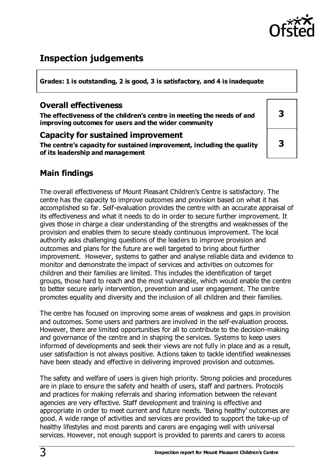

# **Inspection judgements**

**Grades: 1 is outstanding, 2 is good, 3 is satisfactory, and 4 is inadequate**

### **Overall effectiveness**

**The effectiveness of the children's centre in meeting the needs of and improving outcomes for users and the wider community**

#### **Capacity for sustained improvement**

**The centre's capacity for sustained improvement, including the quality of its leadership and management**

| 3 |
|---|
| 3 |

# **Main findings**

The overall effectiveness of Mount Pleasant Children's Centre is satisfactory. The centre has the capacity to improve outcomes and provision based on what it has accomplished so far. Self-evaluation provides the centre with an accurate appraisal of its effectiveness and what it needs to do in order to secure further improvement. It gives those in charge a clear understanding of the strengths and weaknesses of the provision and enables them to secure steady continuous improvement. The local authority asks challenging questions of the leaders to improve provision and outcomes and plans for the future are well targeted to bring about further improvement. However, systems to gather and analyse reliable data and evidence to monitor and demonstrate the impact of services and activities on outcomes for children and their families are limited. This includes the identification of target groups, those hard to reach and the most vulnerable, which would enable the centre to better secure early intervention, prevention and user engagement. The centre promotes equality and diversity and the inclusion of all children and their families.

The centre has focused on improving some areas of weakness and gaps in provision and outcomes. Some users and partners are involved in the self-evaluation process. However, there are limited opportunities for all to contribute to the decision-making and governance of the centre and in shaping the services. Systems to keep users informed of developments and seek their views are not fully in place and as a result, user satisfaction is not always positive. Actions taken to tackle identified weaknesses have been steady and effective in delivering improved provision and outcomes.

The safety and welfare of users is given high priority. Strong policies and procedures are in place to ensure the safety and health of users, staff and partners. Protocols and practices for making referrals and sharing information between the relevant agencies are very effective. Staff development and training is effective and appropriate in order to meet current and future needs. 'Being healthy' outcomes are good. A wide range of activities and services are provided to support the take-up of healthy lifestyles and most parents and carers are engaging well with universal services. However, not enough support is provided to parents and carers to access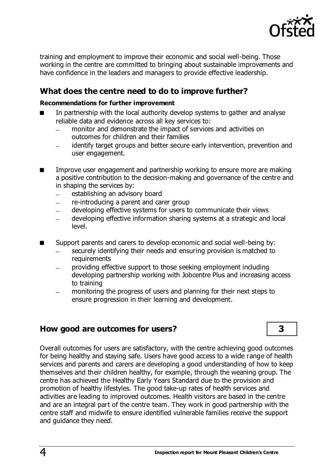

training and employment to improve their economic and social well-being. Those working in the centre are committed to bringing about sustainable improvements and have confidence in the leaders and managers to provide effective leadership.

# **What does the centre need to do to improve further?**

#### **Recommendations for further improvement**

- In partnership with the local authority develop systems to gather and analyse reliable data and evidence across all key services to:
	- monitor and demonstrate the impact of services and activities on  $\equiv$ outcomes for children and their families
	- identify target groups and better secure early intervention, prevention and user engagement.
- Improve user engagement and partnership working to ensure more are making a positive contribution to the decision-making and governance of the centre and in shaping the services by:
	- establishing an advisory board
	- re-introducing a parent and carer group
	- developing effective systems for users to communicate their views
	- developing effective information sharing systems at a strategic and local level.
- Support parents and carers to develop economic and social well-being by:
	- securely identifying their needs and ensuring provision is matched to requirements
	- providing effective support to those seeking employment including developing partnership working with Jobcentre Plus and increasing access to training
	- monitoring the progress of users and planning for their next steps to ensure progression in their learning and development.

### **How good are outcomes for users? 3**

Overall outcomes for users are satisfactory, with the centre achieving good outcomes for being healthy and staying safe. Users have good access to a wide range of health services and parents and carers are developing a good understanding of how to keep themselves and their children healthy, for example, through the weaning group. The centre has achieved the Healthy Early Years Standard due to the provision and promotion of healthy lifestyles. The good take-up rates of health services and activities are leading to improved outcomes. Health visitors are based in the centre and are an integral part of the centre team. They work in good partnership with the centre staff and midwife to ensure identified vulnerable families receive the support and guidance they need.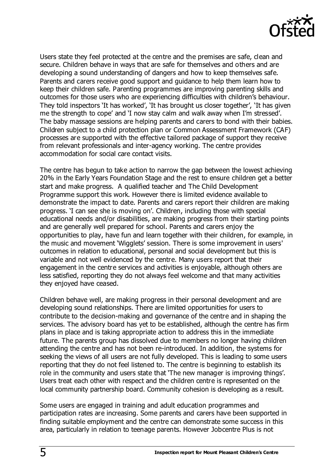

Users state they feel protected at the centre and the premises are safe, clean and secure. Children behave in ways that are safe for themselves and others and are developing a sound understanding of dangers and how to keep themselves safe. Parents and carers receive good support and guidance to help them learn how to keep their children safe. Parenting programmes are improving parenting skills and outcomes for those users who are experiencing difficulties with children's behaviour. They told inspectors 'It has worked', 'It has brought us closer together', 'It has given me the strength to cope' and 'I now stay calm and walk away when I'm stressed'. The baby massage sessions are helping parents and carers to bond with their babies. Children subject to a child protection plan or Common Assessment Framework (CAF) processes are supported with the effective tailored package of support they receive from relevant professionals and inter-agency working. The centre provides accommodation for social care contact visits.

The centre has begun to take action to narrow the gap between the lowest achieving 20% in the Early Years Foundation Stage and the rest to ensure children get a better start and make progress. A qualified teacher and The Child Development Programme support this work. However there is limited evidence available to demonstrate the impact to date. Parents and carers report their children are making progress. 'I can see she is moving on'. Children, including those with special educational needs and/or disabilities, are making progress from their starting points and are generally well prepared for school. Parents and carers enjoy the opportunities to play, have fun and learn together with their children, for example, in the music and movement 'Wigglets' session. There is some improvement in users' outcomes in relation to educational, personal and social development but this is variable and not well evidenced by the centre. Many users report that their engagement in the centre services and activities is enjoyable, although others are less satisfied, reporting they do not always feel welcome and that many activities they enjoyed have ceased.

Children behave well, are making progress in their personal development and are developing sound relationships. There are limited opportunities for users to contribute to the decision-making and governance of the centre and in shaping the services. The advisory board has yet to be established, although the centre has firm plans in place and is taking appropriate action to address this in the immediate future. The parents group has dissolved due to members no longer having children attending the centre and has not been re-introduced. In addition, the systems for seeking the views of all users are not fully developed. This is leading to some users reporting that they do not feel listened to. The centre is beginning to establish its role in the community and users state that 'The new manager is improving things'. Users treat each other with respect and the children centre is represented on the local community partnership board. Community cohesion is developing as a result.

Some users are engaged in training and adult education programmes and participation rates are increasing. Some parents and carers have been supported in finding suitable employment and the centre can demonstrate some success in this area, particularly in relation to teenage parents. However Jobcentre Plus is not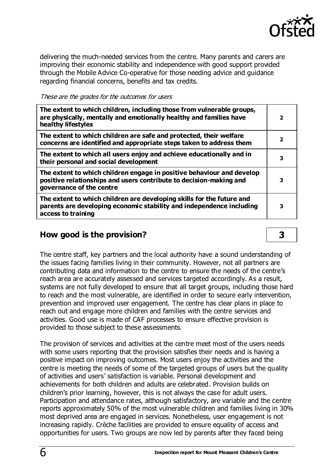

delivering the much-needed services from the centre. Many parents and carers are improving their economic stability and independence with good support provided through the Mobile Advice Co-operative for those needing advice and guidance regarding financial concerns, benefits and tax credits.

These are the grades for the outcomes for users

| The extent to which children, including those from vulnerable groups,<br>are physically, mentally and emotionally healthy and families have<br>healthy lifestyles       | $\overline{\mathbf{2}}$ |
|-------------------------------------------------------------------------------------------------------------------------------------------------------------------------|-------------------------|
| The extent to which children are safe and protected, their welfare<br>concerns are identified and appropriate steps taken to address them                               | $\overline{2}$          |
| The extent to which all users enjoy and achieve educationally and in<br>their personal and social development                                                           | 3                       |
| The extent to which children engage in positive behaviour and develop<br>positive relationships and users contribute to decision-making and<br>governance of the centre | 3                       |
| The extent to which children are developing skills for the future and<br>parents are developing economic stability and independence including<br>access to training     | 3                       |

### **How good is the provision? 3**

The centre staff, key partners and the local authority have a sound understanding of the issues facing families living in their community. However, not all partners are contributing data and information to the centre to ensure the needs of the centre's reach area are accurately assessed and services targeted accordingly. As a result, systems are not fully developed to ensure that all target groups, including those hard to reach and the most vulnerable, are identified in order to secure early intervention, prevention and improved user engagement. The centre has clear plans in place to reach out and engage more children and families with the centre services and activities. Good use is made of CAF processes to ensure effective provision is provided to those subject to these assessments.

The provision of services and activities at the centre meet most of the users needs with some users reporting that the provision satisfies their needs and is having a positive impact on improving outcomes. Most users enjoy the activities and the centre is meeting the needs of some of the targeted groups of users but the quality of activities and users' satisfaction is variable. Personal development and achievements for both children and adults are celebrated. Provision builds on children's prior learning, however, this is not always the case for adult users. Participation and attendance rates, although satisfactory, are variable and the centre reports approximately 50% of the most vulnerable children and families living in 30% most deprived area are engaged in services. Nonetheless, user engagement is not increasing rapidly. Crèche facilities are provided to ensure equality of access and opportunities for users. Two groups are now led by parents after they faced being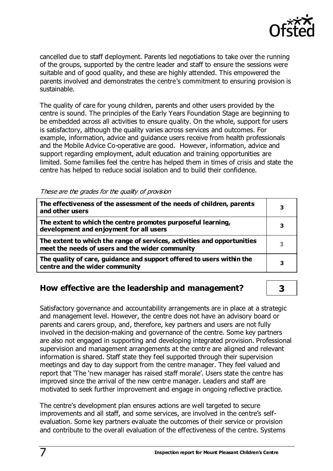

cancelled due to staff deployment. Parents led negotiations to take over the running of the groups, supported by the centre leader and staff to ensure the sessions were suitable and of good quality, and these are highly attended. This empowered the parents involved and demonstrates the centre's commitment to ensuring provision is sustainable.

The quality of care for young children, parents and other users provided by the centre is sound. The principles of the Early Years Foundation Stage are beginning to be embedded across all activities to ensure quality. On the whole, support for users is satisfactory, although the quality varies across services and outcomes. For example, information, advice and guidance users receive from health professionals and the Mobile Advice Co-operative are good. However, information, advice and support regarding employment, adult education and training opportunities are limited. Some families feel the centre has helped them in times of crisis and state the centre has helped to reduce social isolation and to build their confidence.

| These are the grades for the quality of provision |  |  |  |  |
|---------------------------------------------------|--|--|--|--|
|---------------------------------------------------|--|--|--|--|

| The effectiveness of the assessment of the needs of children, parents<br>and other users                                   |   |
|----------------------------------------------------------------------------------------------------------------------------|---|
| The extent to which the centre promotes purposeful learning,<br>development and enjoyment for all users                    |   |
| The extent to which the range of services, activities and opportunities<br>meet the needs of users and the wider community | 3 |
| The quality of care, guidance and support offered to users within the<br>centre and the wider community                    | 3 |

### **How effective are the leadership and management? 3**

Satisfactory governance and accountability arrangements are in place at a strategic and management level. However, the centre does not have an advisory board or parents and carers group, and, therefore, key partners and users are not fully involved in the decision-making and governance of the centre. Some key partners are also not engaged in supporting and developing integrated provision. Professional supervision and management arrangements at the centre are aligned and relevant information is shared. Staff state they feel supported through their supervision meetings and day to day support from the centre manager. They feel valued and report that 'The 'new manager has raised staff morale'. Users state the centre has improved since the arrival of the new centre manager. Leaders and staff are motivated to seek further improvement and engage in ongoing reflective practice.

The centre's development plan ensures actions are well targeted to secure improvements and all staff, and some services, are involved in the centre's selfevaluation. Some key partners evaluate the outcomes of their service or provision and contribute to the overall evaluation of the effectiveness of the centre. Systems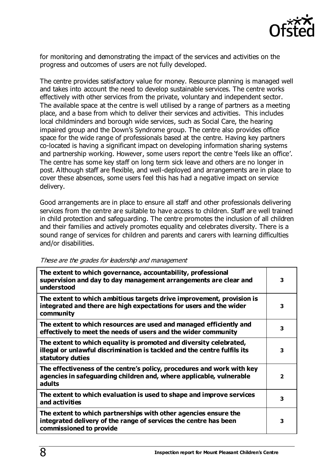

for monitoring and demonstrating the impact of the services and activities on the progress and outcomes of users are not fully developed.

The centre provides satisfactory value for money. Resource planning is managed well and takes into account the need to develop sustainable services. The centre works effectively with other services from the private, voluntary and independent sector. The available space at the centre is well utilised by a range of partners as a meeting place, and a base from which to deliver their services and activities. This includes local childminders and borough wide services, such as Social Care, the hearing impaired group and the Down's Syndrome group. The centre also provides office space for the wide range of professionals based at the centre. Having key partners co-located is having a significant impact on developing information sharing systems and partnership working. However, some users report the centre 'feels like an office'. The centre has some key staff on long term sick leave and others are no longer in post. Although staff are flexible, and well-deployed and arrangements are in place to cover these absences, some users feel this has had a negative impact on service delivery.

Good arrangements are in place to ensure all staff and other professionals delivering services from the centre are suitable to have access to children. Staff are well trained in child protection and safeguarding. The centre promotes the inclusion of all children and their families and actively promotes equality and celebrates diversity. There is a sound range of services for children and parents and carers with learning difficulties and/or disabilities.

| The extent to which governance, accountability, professional<br>supervision and day to day management arrangements are clear and<br>understood                     | 3              |
|--------------------------------------------------------------------------------------------------------------------------------------------------------------------|----------------|
| The extent to which ambitious targets drive improvement, provision is<br>integrated and there are high expectations for users and the wider<br>community           | 3              |
| The extent to which resources are used and managed efficiently and<br>effectively to meet the needs of users and the wider community                               | 3              |
| The extent to which equality is promoted and diversity celebrated,<br>illegal or unlawful discrimination is tackled and the centre fulfils its<br>statutory duties | 3              |
| The effectiveness of the centre's policy, procedures and work with key<br>agencies in safeguarding children and, where applicable, vulnerable<br>adults            | $\overline{2}$ |
| The extent to which evaluation is used to shape and improve services<br>and activities                                                                             | 3              |
| The extent to which partnerships with other agencies ensure the<br>integrated delivery of the range of services the centre has been<br>commissioned to provide     | 3              |

#### These are the grades for leadership and management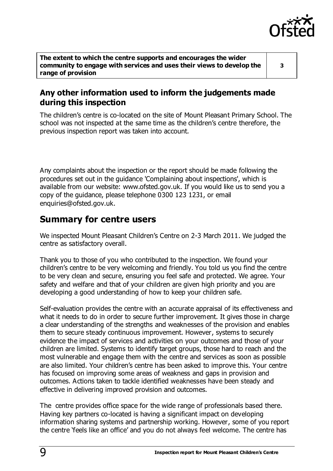

**The extent to which the centre supports and encourages the wider community to engage with services and uses their views to develop the range of provision**

**3**

# **Any other information used to inform the judgements made during this inspection**

The children's centre is co-located on the site of Mount Pleasant Primary School. The school was not inspected at the same time as the children's centre therefore, the previous inspection report was taken into account.

Any complaints about the inspection or the report should be made following the procedures set out in the guidance 'Complaining about inspections', which is available from our website: [www.ofsted.gov.uk.](http://www.ofsted.gov.uk/) If you would like us to send you a copy of the guidance, please telephone 0300 123 1231, or email [enquiries@ofsted.gov.uk.](mailto:enquiries@ofsted.gov.uk)

# **Summary for centre users**

We inspected Mount Pleasant Children's Centre on 2-3 March 2011. We judged the centre as satisfactory overall.

Thank you to those of you who contributed to the inspection. We found your children's centre to be very welcoming and friendly. You told us you find the centre to be very clean and secure, ensuring you feel safe and protected. We agree. Your safety and welfare and that of your children are given high priority and you are developing a good understanding of how to keep your children safe.

Self-evaluation provides the centre with an accurate appraisal of its effectiveness and what it needs to do in order to secure further improvement. It gives those in charge a clear understanding of the strengths and weaknesses of the provision and enables them to secure steady continuous improvement. However, systems to securely evidence the impact of services and activities on your outcomes and those of your children are limited. Systems to identify target groups, those hard to reach and the most vulnerable and engage them with the centre and services as soon as possible are also limited. Your children's centre has been asked to improve this. Your centre has focused on improving some areas of weakness and gaps in provision and outcomes. Actions taken to tackle identified weaknesses have been steady and effective in delivering improved provision and outcomes.

The centre provides office space for the wide range of professionals based there. Having key partners co-located is having a significant impact on developing information sharing systems and partnership working. However, some of you report the centre 'feels like an office' and you do not always feel welcome. The centre has